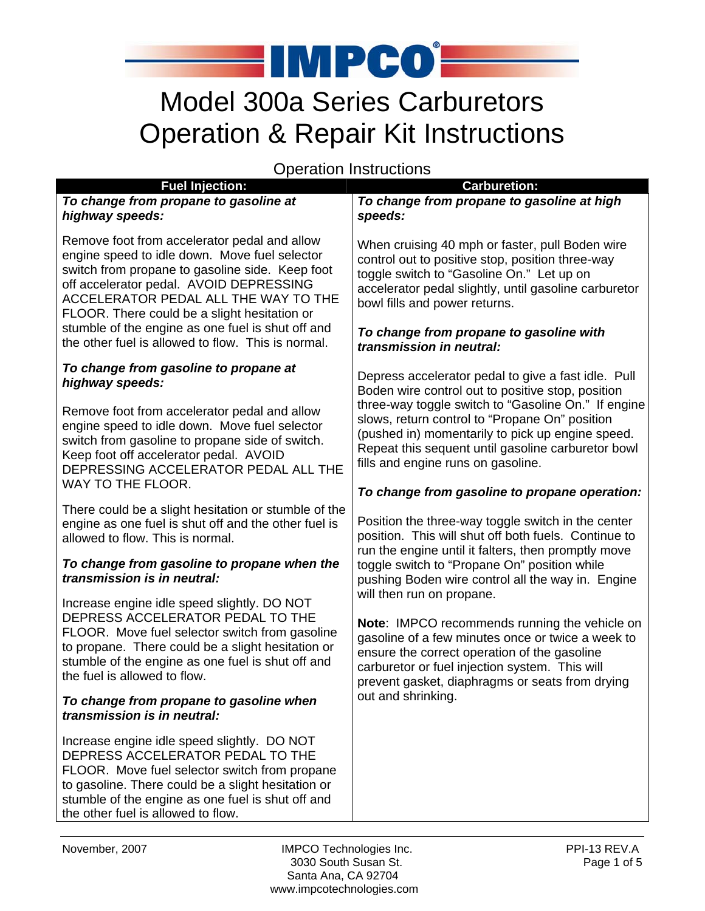

# Model 300a Series Carburetors Operation & Repair Kit Instructions

Operation Instructions

|                   |                                                                                                                                                                                                                                                                                     | oporation motractions                                                                                                                                                                                                                                                                                                                                             |  |
|-------------------|-------------------------------------------------------------------------------------------------------------------------------------------------------------------------------------------------------------------------------------------------------------------------------------|-------------------------------------------------------------------------------------------------------------------------------------------------------------------------------------------------------------------------------------------------------------------------------------------------------------------------------------------------------------------|--|
|                   | <b>Fuel Injection:</b><br>To change from propane to gasoline at<br>highway speeds:                                                                                                                                                                                                  | <b>Carburetion:</b><br>To change from propane to gasoline at high<br>speeds:                                                                                                                                                                                                                                                                                      |  |
|                   | Remove foot from accelerator pedal and allow<br>engine speed to idle down. Move fuel selector<br>switch from propane to gasoline side. Keep foot<br>off accelerator pedal. AVOID DEPRESSING<br>ACCELERATOR PEDAL ALL THE WAY TO THE<br>FLOOR. There could be a slight hesitation or | When cruising 40 mph or faster, pull Boden wire<br>control out to positive stop, position three-way<br>toggle switch to "Gasoline On." Let up on<br>accelerator pedal slightly, until gasoline carburetor<br>bowl fills and power returns.                                                                                                                        |  |
|                   | stumble of the engine as one fuel is shut off and<br>the other fuel is allowed to flow. This is normal.                                                                                                                                                                             | To change from propane to gasoline with<br>transmission in neutral:                                                                                                                                                                                                                                                                                               |  |
|                   | To change from gasoline to propane at<br>highway speeds:                                                                                                                                                                                                                            | Depress accelerator pedal to give a fast idle. Pull<br>Boden wire control out to positive stop, position<br>three-way toggle switch to "Gasoline On." If engine<br>slows, return control to "Propane On" position<br>(pushed in) momentarily to pick up engine speed.<br>Repeat this sequent until gasoline carburetor bowl<br>fills and engine runs on gasoline. |  |
|                   | Remove foot from accelerator pedal and allow<br>engine speed to idle down. Move fuel selector<br>switch from gasoline to propane side of switch.<br>Keep foot off accelerator pedal. AVOID<br>DEPRESSING ACCELERATOR PEDAL ALL THE                                                  |                                                                                                                                                                                                                                                                                                                                                                   |  |
| WAY TO THE FLOOR. |                                                                                                                                                                                                                                                                                     | To change from gasoline to propane operation:                                                                                                                                                                                                                                                                                                                     |  |
|                   | There could be a slight hesitation or stumble of the<br>engine as one fuel is shut off and the other fuel is<br>allowed to flow. This is normal.                                                                                                                                    | Position the three-way toggle switch in the center<br>position. This will shut off both fuels. Continue to                                                                                                                                                                                                                                                        |  |
|                   | To change from gasoline to propane when the<br>transmission is in neutral:                                                                                                                                                                                                          | run the engine until it falters, then promptly move<br>toggle switch to "Propane On" position while<br>pushing Boden wire control all the way in. Engine<br>will then run on propane.                                                                                                                                                                             |  |
|                   | Increase engine idle speed slightly. DO NOT<br>DEPRESS ACCELERATOR PEDAL TO THE<br>FLOOR. Move fuel selector switch from gasoline<br>to propane. There could be a slight hesitation or<br>stumble of the engine as one fuel is shut off and<br>the fuel is allowed to flow.         | Note: IMPCO recommends running the vehicle on<br>gasoline of a few minutes once or twice a week to<br>ensure the correct operation of the gasoline<br>carburetor or fuel injection system. This will<br>prevent gasket, diaphragms or seats from drying                                                                                                           |  |
|                   | To change from propane to gasoline when<br>transmission is in neutral:                                                                                                                                                                                                              | out and shrinking.                                                                                                                                                                                                                                                                                                                                                |  |
|                   | Increase engine idle speed slightly. DO NOT<br>DEPRESS ACCELERATOR PEDAL TO THE<br>FLOOR. Move fuel selector switch from propane<br>to gasoline. There could be a slight hesitation or<br>stumble of the engine as one fuel is shut off and<br>the other fuel is allowed to flow.   |                                                                                                                                                                                                                                                                                                                                                                   |  |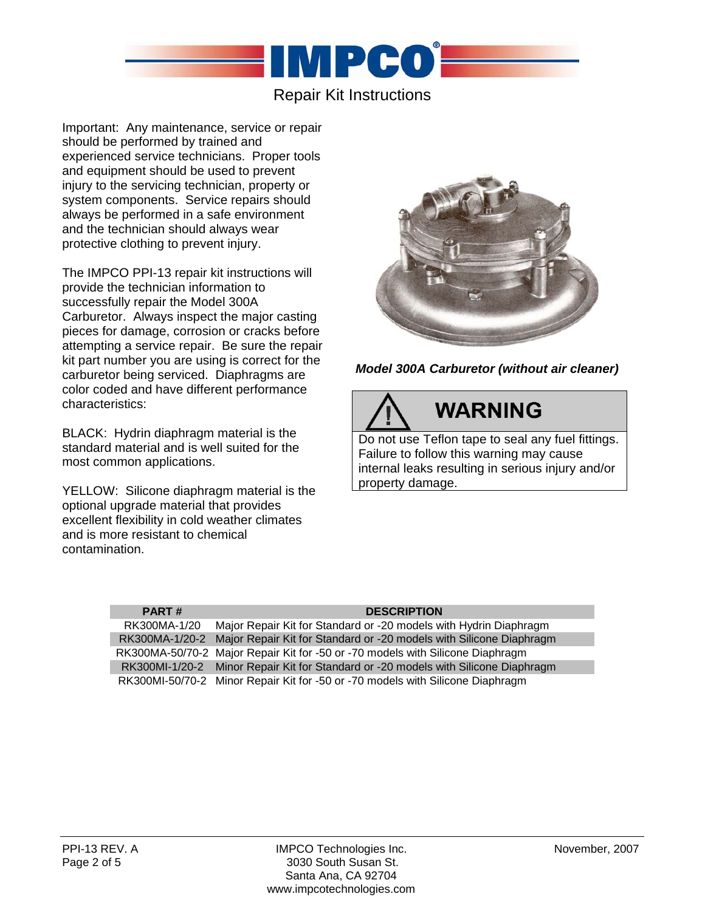

## Repair Kit Instructions

Important: Any maintenance, service or repair should be performed by trained and experienced service technicians. Proper tools and equipment should be used to prevent injury to the servicing technician, property or system components. Service repairs should always be performed in a safe environment and the technician should always wear protective clothing to prevent injury.

The IMPCO PPI-13 repair kit instructions will provide the technician information to successfully repair the Model 300A Carburetor. Always inspect the major casting pieces for damage, corrosion or cracks before attempting a service repair. Be sure the repair kit part number you are using is correct for the carburetor being serviced. Diaphragms are color coded and have different performance characteristics:

BLACK: Hydrin diaphragm material is the standard material and is well suited for the most common applications.

YELLOW: Silicone diaphragm material is the optional upgrade material that provides excellent flexibility in cold weather climates and is more resistant to chemical contamination.



*Model 300A Carburetor (without air cleaner)* 



**WARNING** 

Do not use Teflon tape to seal any fuel fittings. Failure to follow this warning may cause internal leaks resulting in serious injury and/or property damage.

| <b>PART#</b> | <b>DESCRIPTION</b>                                                                 |
|--------------|------------------------------------------------------------------------------------|
| RK300MA-1/20 | Major Repair Kit for Standard or -20 models with Hydrin Diaphragm                  |
|              | RK300MA-1/20-2 Major Repair Kit for Standard or -20 models with Silicone Diaphragm |
|              | RK300MA-50/70-2 Major Repair Kit for -50 or -70 models with Silicone Diaphragm     |
|              | RK300MI-1/20-2 Minor Repair Kit for Standard or -20 models with Silicone Diaphragm |
|              | RK300MI-50/70-2 Minor Repair Kit for -50 or -70 models with Silicone Diaphragm     |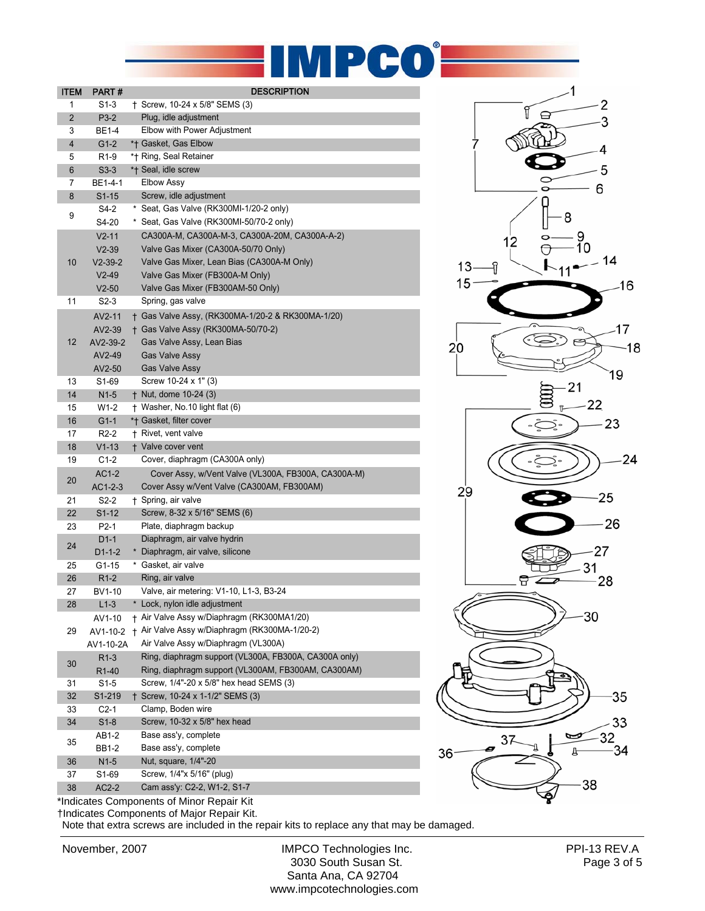

| + Screw, 10-24 x 5/8" SEMS (3)<br>S1-3<br>1<br>$\overline{2}$<br>P3-2<br>Plug, idle adjustment<br>Elbow with Power Adjustment<br>3<br>BE1-4<br>*† Gasket, Gas Elbow<br>4<br>$G1-2$<br>5<br>*† Ring, Seal Retainer<br>R <sub>1</sub> -9<br>*+ Seal, idle screw<br>6<br>$S3-3$<br>Elbow Assy<br>7<br>BE1-4-1<br>Screw, idle adjustment<br>8<br>$S1 - 15$<br>* Seat, Gas Valve (RK300MI-1/20-2 only)<br>S4-2<br>9<br>Seat, Gas Valve (RK300MI-50/70-2 only)<br>S4-20<br>*<br>CA300A-M, CA300A-M-3, CA300A-20M, CA300A-A-2)<br>$V2 - 11$<br>Valve Gas Mixer (CA300A-50/70 Only)<br>$V2-39$<br>10<br>Valve Gas Mixer, Lean Bias (CA300A-M Only)<br>$V2-39-2$<br>Valve Gas Mixer (FB300A-M Only)<br>$V2-49$<br>Valve Gas Mixer (FB300AM-50 Only)<br>$V2-50$<br>Spring, gas valve<br>11<br>S2-3<br>AV2-11<br>† Gas Valve Assy, (RK300MA-1/20-2 & RK300MA-1/20)<br>+ Gas Valve Assy (RK300MA-50/70-2)<br>AV2-39<br>12<br>Gas Valve Assy, Lean Bias<br>AV2-39-2<br><b>Gas Valve Assy</b><br>AV2-49<br>AV2-50<br><b>Gas Valve Assy</b><br>13<br>S1-69<br>Screw 10-24 x 1" (3)<br>+ Nut, dome 10-24 (3)<br>14<br>$N1-5$<br>+ Washer, No.10 light flat (6)<br>15<br>$W1-2$<br>*† Gasket, filter cover<br>16<br>$G1-1$<br>17<br>$R2-2$<br>+ Rivet, vent valve<br>18<br>$V1-13$<br>+ Valve cover vent<br>Cover, diaphragm (CA300A only)<br>19<br>$C1-2$<br>AC1-2<br>Cover Assy, w/Vent Valve (VL300A, FB300A, CA300A-M)<br>20<br>$AC1-2-3$<br>Cover Assy w/Vent Valve (CA300AM, FB300AM)<br>21<br>S <sub>2</sub> -2<br>† Spring, air valve<br>Screw, 8-32 x 5/16" SEMS (6)<br>22<br>$S1 - 12$<br>23<br>P <sub>2</sub> -1<br>Plate, diaphragm backup<br>Diaphragm, air valve hydrin<br>$D1-1$<br>24<br>* Diaphragm, air valve, silicone<br>$D1-1-2$<br>* Gasket, air valve<br>25<br>G1-15<br>26<br>$R1-2$<br>Ring, air valve<br>Valve, air metering: V1-10, L1-3, B3-24<br>27<br>BV1-10<br>$L1-3$<br>* Lock, nylon idle adjustment<br>28<br>+ Air Valve Assy w/Diaphragm (RK300MA1/20)<br>AV1-10<br>+ Air Valve Assy w/Diaphragm (RK300MA-1/20-2)<br>29<br>AV1-10-2<br>Air Valve Assy w/Diaphragm (VL300A)<br>AV1-10-2A<br>Ring, diaphragm support (VL300A, FB300A, CA300A only)<br>$R1-3$<br>30<br>Ring, diaphragm support (VL300AM, FB300AM, CA300AM)<br>R <sub>1</sub> -40<br>Screw, 1/4"-20 x 5/8" hex head SEMS (3)<br>31<br>S1-5<br>† Screw, 10-24 x 1-1/2" SEMS (3)<br>32<br>S1-219<br>Clamp, Boden wire<br>33<br>C2-1<br>Screw, 10-32 x 5/8" hex head<br>34<br>$S1-8$<br>Base ass'y, complete<br>AB1-2<br>35<br>Base ass'y, complete<br>BB1-2 | <b>ITEM</b> | PART# | <b>DESCRIPTION</b> |
|----------------------------------------------------------------------------------------------------------------------------------------------------------------------------------------------------------------------------------------------------------------------------------------------------------------------------------------------------------------------------------------------------------------------------------------------------------------------------------------------------------------------------------------------------------------------------------------------------------------------------------------------------------------------------------------------------------------------------------------------------------------------------------------------------------------------------------------------------------------------------------------------------------------------------------------------------------------------------------------------------------------------------------------------------------------------------------------------------------------------------------------------------------------------------------------------------------------------------------------------------------------------------------------------------------------------------------------------------------------------------------------------------------------------------------------------------------------------------------------------------------------------------------------------------------------------------------------------------------------------------------------------------------------------------------------------------------------------------------------------------------------------------------------------------------------------------------------------------------------------------------------------------------------------------------------------------------------------------------------------------------------------------------------------------------------------------------------------------------------------------------------------------------------------------------------------------------------------------------------------------------------------------------------------------------------------------------------------------------------------------------------------------------------------------------------------------------------------------------------------------------------------------------------|-------------|-------|--------------------|
|                                                                                                                                                                                                                                                                                                                                                                                                                                                                                                                                                                                                                                                                                                                                                                                                                                                                                                                                                                                                                                                                                                                                                                                                                                                                                                                                                                                                                                                                                                                                                                                                                                                                                                                                                                                                                                                                                                                                                                                                                                                                                                                                                                                                                                                                                                                                                                                                                                                                                                                                        |             |       |                    |
|                                                                                                                                                                                                                                                                                                                                                                                                                                                                                                                                                                                                                                                                                                                                                                                                                                                                                                                                                                                                                                                                                                                                                                                                                                                                                                                                                                                                                                                                                                                                                                                                                                                                                                                                                                                                                                                                                                                                                                                                                                                                                                                                                                                                                                                                                                                                                                                                                                                                                                                                        |             |       |                    |
|                                                                                                                                                                                                                                                                                                                                                                                                                                                                                                                                                                                                                                                                                                                                                                                                                                                                                                                                                                                                                                                                                                                                                                                                                                                                                                                                                                                                                                                                                                                                                                                                                                                                                                                                                                                                                                                                                                                                                                                                                                                                                                                                                                                                                                                                                                                                                                                                                                                                                                                                        |             |       |                    |
|                                                                                                                                                                                                                                                                                                                                                                                                                                                                                                                                                                                                                                                                                                                                                                                                                                                                                                                                                                                                                                                                                                                                                                                                                                                                                                                                                                                                                                                                                                                                                                                                                                                                                                                                                                                                                                                                                                                                                                                                                                                                                                                                                                                                                                                                                                                                                                                                                                                                                                                                        |             |       |                    |
|                                                                                                                                                                                                                                                                                                                                                                                                                                                                                                                                                                                                                                                                                                                                                                                                                                                                                                                                                                                                                                                                                                                                                                                                                                                                                                                                                                                                                                                                                                                                                                                                                                                                                                                                                                                                                                                                                                                                                                                                                                                                                                                                                                                                                                                                                                                                                                                                                                                                                                                                        |             |       |                    |
|                                                                                                                                                                                                                                                                                                                                                                                                                                                                                                                                                                                                                                                                                                                                                                                                                                                                                                                                                                                                                                                                                                                                                                                                                                                                                                                                                                                                                                                                                                                                                                                                                                                                                                                                                                                                                                                                                                                                                                                                                                                                                                                                                                                                                                                                                                                                                                                                                                                                                                                                        |             |       |                    |
|                                                                                                                                                                                                                                                                                                                                                                                                                                                                                                                                                                                                                                                                                                                                                                                                                                                                                                                                                                                                                                                                                                                                                                                                                                                                                                                                                                                                                                                                                                                                                                                                                                                                                                                                                                                                                                                                                                                                                                                                                                                                                                                                                                                                                                                                                                                                                                                                                                                                                                                                        |             |       |                    |
|                                                                                                                                                                                                                                                                                                                                                                                                                                                                                                                                                                                                                                                                                                                                                                                                                                                                                                                                                                                                                                                                                                                                                                                                                                                                                                                                                                                                                                                                                                                                                                                                                                                                                                                                                                                                                                                                                                                                                                                                                                                                                                                                                                                                                                                                                                                                                                                                                                                                                                                                        |             |       |                    |
|                                                                                                                                                                                                                                                                                                                                                                                                                                                                                                                                                                                                                                                                                                                                                                                                                                                                                                                                                                                                                                                                                                                                                                                                                                                                                                                                                                                                                                                                                                                                                                                                                                                                                                                                                                                                                                                                                                                                                                                                                                                                                                                                                                                                                                                                                                                                                                                                                                                                                                                                        |             |       |                    |
|                                                                                                                                                                                                                                                                                                                                                                                                                                                                                                                                                                                                                                                                                                                                                                                                                                                                                                                                                                                                                                                                                                                                                                                                                                                                                                                                                                                                                                                                                                                                                                                                                                                                                                                                                                                                                                                                                                                                                                                                                                                                                                                                                                                                                                                                                                                                                                                                                                                                                                                                        |             |       |                    |
|                                                                                                                                                                                                                                                                                                                                                                                                                                                                                                                                                                                                                                                                                                                                                                                                                                                                                                                                                                                                                                                                                                                                                                                                                                                                                                                                                                                                                                                                                                                                                                                                                                                                                                                                                                                                                                                                                                                                                                                                                                                                                                                                                                                                                                                                                                                                                                                                                                                                                                                                        |             |       |                    |
|                                                                                                                                                                                                                                                                                                                                                                                                                                                                                                                                                                                                                                                                                                                                                                                                                                                                                                                                                                                                                                                                                                                                                                                                                                                                                                                                                                                                                                                                                                                                                                                                                                                                                                                                                                                                                                                                                                                                                                                                                                                                                                                                                                                                                                                                                                                                                                                                                                                                                                                                        |             |       |                    |
|                                                                                                                                                                                                                                                                                                                                                                                                                                                                                                                                                                                                                                                                                                                                                                                                                                                                                                                                                                                                                                                                                                                                                                                                                                                                                                                                                                                                                                                                                                                                                                                                                                                                                                                                                                                                                                                                                                                                                                                                                                                                                                                                                                                                                                                                                                                                                                                                                                                                                                                                        |             |       |                    |
|                                                                                                                                                                                                                                                                                                                                                                                                                                                                                                                                                                                                                                                                                                                                                                                                                                                                                                                                                                                                                                                                                                                                                                                                                                                                                                                                                                                                                                                                                                                                                                                                                                                                                                                                                                                                                                                                                                                                                                                                                                                                                                                                                                                                                                                                                                                                                                                                                                                                                                                                        |             |       |                    |
|                                                                                                                                                                                                                                                                                                                                                                                                                                                                                                                                                                                                                                                                                                                                                                                                                                                                                                                                                                                                                                                                                                                                                                                                                                                                                                                                                                                                                                                                                                                                                                                                                                                                                                                                                                                                                                                                                                                                                                                                                                                                                                                                                                                                                                                                                                                                                                                                                                                                                                                                        |             |       |                    |
|                                                                                                                                                                                                                                                                                                                                                                                                                                                                                                                                                                                                                                                                                                                                                                                                                                                                                                                                                                                                                                                                                                                                                                                                                                                                                                                                                                                                                                                                                                                                                                                                                                                                                                                                                                                                                                                                                                                                                                                                                                                                                                                                                                                                                                                                                                                                                                                                                                                                                                                                        |             |       |                    |
|                                                                                                                                                                                                                                                                                                                                                                                                                                                                                                                                                                                                                                                                                                                                                                                                                                                                                                                                                                                                                                                                                                                                                                                                                                                                                                                                                                                                                                                                                                                                                                                                                                                                                                                                                                                                                                                                                                                                                                                                                                                                                                                                                                                                                                                                                                                                                                                                                                                                                                                                        |             |       |                    |
|                                                                                                                                                                                                                                                                                                                                                                                                                                                                                                                                                                                                                                                                                                                                                                                                                                                                                                                                                                                                                                                                                                                                                                                                                                                                                                                                                                                                                                                                                                                                                                                                                                                                                                                                                                                                                                                                                                                                                                                                                                                                                                                                                                                                                                                                                                                                                                                                                                                                                                                                        |             |       |                    |
|                                                                                                                                                                                                                                                                                                                                                                                                                                                                                                                                                                                                                                                                                                                                                                                                                                                                                                                                                                                                                                                                                                                                                                                                                                                                                                                                                                                                                                                                                                                                                                                                                                                                                                                                                                                                                                                                                                                                                                                                                                                                                                                                                                                                                                                                                                                                                                                                                                                                                                                                        |             |       |                    |
|                                                                                                                                                                                                                                                                                                                                                                                                                                                                                                                                                                                                                                                                                                                                                                                                                                                                                                                                                                                                                                                                                                                                                                                                                                                                                                                                                                                                                                                                                                                                                                                                                                                                                                                                                                                                                                                                                                                                                                                                                                                                                                                                                                                                                                                                                                                                                                                                                                                                                                                                        |             |       |                    |
|                                                                                                                                                                                                                                                                                                                                                                                                                                                                                                                                                                                                                                                                                                                                                                                                                                                                                                                                                                                                                                                                                                                                                                                                                                                                                                                                                                                                                                                                                                                                                                                                                                                                                                                                                                                                                                                                                                                                                                                                                                                                                                                                                                                                                                                                                                                                                                                                                                                                                                                                        |             |       |                    |
|                                                                                                                                                                                                                                                                                                                                                                                                                                                                                                                                                                                                                                                                                                                                                                                                                                                                                                                                                                                                                                                                                                                                                                                                                                                                                                                                                                                                                                                                                                                                                                                                                                                                                                                                                                                                                                                                                                                                                                                                                                                                                                                                                                                                                                                                                                                                                                                                                                                                                                                                        |             |       |                    |
|                                                                                                                                                                                                                                                                                                                                                                                                                                                                                                                                                                                                                                                                                                                                                                                                                                                                                                                                                                                                                                                                                                                                                                                                                                                                                                                                                                                                                                                                                                                                                                                                                                                                                                                                                                                                                                                                                                                                                                                                                                                                                                                                                                                                                                                                                                                                                                                                                                                                                                                                        |             |       |                    |
|                                                                                                                                                                                                                                                                                                                                                                                                                                                                                                                                                                                                                                                                                                                                                                                                                                                                                                                                                                                                                                                                                                                                                                                                                                                                                                                                                                                                                                                                                                                                                                                                                                                                                                                                                                                                                                                                                                                                                                                                                                                                                                                                                                                                                                                                                                                                                                                                                                                                                                                                        |             |       |                    |
|                                                                                                                                                                                                                                                                                                                                                                                                                                                                                                                                                                                                                                                                                                                                                                                                                                                                                                                                                                                                                                                                                                                                                                                                                                                                                                                                                                                                                                                                                                                                                                                                                                                                                                                                                                                                                                                                                                                                                                                                                                                                                                                                                                                                                                                                                                                                                                                                                                                                                                                                        |             |       |                    |
|                                                                                                                                                                                                                                                                                                                                                                                                                                                                                                                                                                                                                                                                                                                                                                                                                                                                                                                                                                                                                                                                                                                                                                                                                                                                                                                                                                                                                                                                                                                                                                                                                                                                                                                                                                                                                                                                                                                                                                                                                                                                                                                                                                                                                                                                                                                                                                                                                                                                                                                                        |             |       |                    |
|                                                                                                                                                                                                                                                                                                                                                                                                                                                                                                                                                                                                                                                                                                                                                                                                                                                                                                                                                                                                                                                                                                                                                                                                                                                                                                                                                                                                                                                                                                                                                                                                                                                                                                                                                                                                                                                                                                                                                                                                                                                                                                                                                                                                                                                                                                                                                                                                                                                                                                                                        |             |       |                    |
|                                                                                                                                                                                                                                                                                                                                                                                                                                                                                                                                                                                                                                                                                                                                                                                                                                                                                                                                                                                                                                                                                                                                                                                                                                                                                                                                                                                                                                                                                                                                                                                                                                                                                                                                                                                                                                                                                                                                                                                                                                                                                                                                                                                                                                                                                                                                                                                                                                                                                                                                        |             |       |                    |
|                                                                                                                                                                                                                                                                                                                                                                                                                                                                                                                                                                                                                                                                                                                                                                                                                                                                                                                                                                                                                                                                                                                                                                                                                                                                                                                                                                                                                                                                                                                                                                                                                                                                                                                                                                                                                                                                                                                                                                                                                                                                                                                                                                                                                                                                                                                                                                                                                                                                                                                                        |             |       |                    |
|                                                                                                                                                                                                                                                                                                                                                                                                                                                                                                                                                                                                                                                                                                                                                                                                                                                                                                                                                                                                                                                                                                                                                                                                                                                                                                                                                                                                                                                                                                                                                                                                                                                                                                                                                                                                                                                                                                                                                                                                                                                                                                                                                                                                                                                                                                                                                                                                                                                                                                                                        |             |       |                    |
|                                                                                                                                                                                                                                                                                                                                                                                                                                                                                                                                                                                                                                                                                                                                                                                                                                                                                                                                                                                                                                                                                                                                                                                                                                                                                                                                                                                                                                                                                                                                                                                                                                                                                                                                                                                                                                                                                                                                                                                                                                                                                                                                                                                                                                                                                                                                                                                                                                                                                                                                        |             |       |                    |
|                                                                                                                                                                                                                                                                                                                                                                                                                                                                                                                                                                                                                                                                                                                                                                                                                                                                                                                                                                                                                                                                                                                                                                                                                                                                                                                                                                                                                                                                                                                                                                                                                                                                                                                                                                                                                                                                                                                                                                                                                                                                                                                                                                                                                                                                                                                                                                                                                                                                                                                                        |             |       |                    |
|                                                                                                                                                                                                                                                                                                                                                                                                                                                                                                                                                                                                                                                                                                                                                                                                                                                                                                                                                                                                                                                                                                                                                                                                                                                                                                                                                                                                                                                                                                                                                                                                                                                                                                                                                                                                                                                                                                                                                                                                                                                                                                                                                                                                                                                                                                                                                                                                                                                                                                                                        |             |       |                    |
|                                                                                                                                                                                                                                                                                                                                                                                                                                                                                                                                                                                                                                                                                                                                                                                                                                                                                                                                                                                                                                                                                                                                                                                                                                                                                                                                                                                                                                                                                                                                                                                                                                                                                                                                                                                                                                                                                                                                                                                                                                                                                                                                                                                                                                                                                                                                                                                                                                                                                                                                        |             |       |                    |
|                                                                                                                                                                                                                                                                                                                                                                                                                                                                                                                                                                                                                                                                                                                                                                                                                                                                                                                                                                                                                                                                                                                                                                                                                                                                                                                                                                                                                                                                                                                                                                                                                                                                                                                                                                                                                                                                                                                                                                                                                                                                                                                                                                                                                                                                                                                                                                                                                                                                                                                                        |             |       |                    |
|                                                                                                                                                                                                                                                                                                                                                                                                                                                                                                                                                                                                                                                                                                                                                                                                                                                                                                                                                                                                                                                                                                                                                                                                                                                                                                                                                                                                                                                                                                                                                                                                                                                                                                                                                                                                                                                                                                                                                                                                                                                                                                                                                                                                                                                                                                                                                                                                                                                                                                                                        |             |       |                    |
|                                                                                                                                                                                                                                                                                                                                                                                                                                                                                                                                                                                                                                                                                                                                                                                                                                                                                                                                                                                                                                                                                                                                                                                                                                                                                                                                                                                                                                                                                                                                                                                                                                                                                                                                                                                                                                                                                                                                                                                                                                                                                                                                                                                                                                                                                                                                                                                                                                                                                                                                        |             |       |                    |
|                                                                                                                                                                                                                                                                                                                                                                                                                                                                                                                                                                                                                                                                                                                                                                                                                                                                                                                                                                                                                                                                                                                                                                                                                                                                                                                                                                                                                                                                                                                                                                                                                                                                                                                                                                                                                                                                                                                                                                                                                                                                                                                                                                                                                                                                                                                                                                                                                                                                                                                                        |             |       |                    |
|                                                                                                                                                                                                                                                                                                                                                                                                                                                                                                                                                                                                                                                                                                                                                                                                                                                                                                                                                                                                                                                                                                                                                                                                                                                                                                                                                                                                                                                                                                                                                                                                                                                                                                                                                                                                                                                                                                                                                                                                                                                                                                                                                                                                                                                                                                                                                                                                                                                                                                                                        |             |       |                    |
|                                                                                                                                                                                                                                                                                                                                                                                                                                                                                                                                                                                                                                                                                                                                                                                                                                                                                                                                                                                                                                                                                                                                                                                                                                                                                                                                                                                                                                                                                                                                                                                                                                                                                                                                                                                                                                                                                                                                                                                                                                                                                                                                                                                                                                                                                                                                                                                                                                                                                                                                        |             |       |                    |
|                                                                                                                                                                                                                                                                                                                                                                                                                                                                                                                                                                                                                                                                                                                                                                                                                                                                                                                                                                                                                                                                                                                                                                                                                                                                                                                                                                                                                                                                                                                                                                                                                                                                                                                                                                                                                                                                                                                                                                                                                                                                                                                                                                                                                                                                                                                                                                                                                                                                                                                                        |             |       |                    |
|                                                                                                                                                                                                                                                                                                                                                                                                                                                                                                                                                                                                                                                                                                                                                                                                                                                                                                                                                                                                                                                                                                                                                                                                                                                                                                                                                                                                                                                                                                                                                                                                                                                                                                                                                                                                                                                                                                                                                                                                                                                                                                                                                                                                                                                                                                                                                                                                                                                                                                                                        |             |       |                    |
|                                                                                                                                                                                                                                                                                                                                                                                                                                                                                                                                                                                                                                                                                                                                                                                                                                                                                                                                                                                                                                                                                                                                                                                                                                                                                                                                                                                                                                                                                                                                                                                                                                                                                                                                                                                                                                                                                                                                                                                                                                                                                                                                                                                                                                                                                                                                                                                                                                                                                                                                        |             |       |                    |
|                                                                                                                                                                                                                                                                                                                                                                                                                                                                                                                                                                                                                                                                                                                                                                                                                                                                                                                                                                                                                                                                                                                                                                                                                                                                                                                                                                                                                                                                                                                                                                                                                                                                                                                                                                                                                                                                                                                                                                                                                                                                                                                                                                                                                                                                                                                                                                                                                                                                                                                                        |             |       |                    |
|                                                                                                                                                                                                                                                                                                                                                                                                                                                                                                                                                                                                                                                                                                                                                                                                                                                                                                                                                                                                                                                                                                                                                                                                                                                                                                                                                                                                                                                                                                                                                                                                                                                                                                                                                                                                                                                                                                                                                                                                                                                                                                                                                                                                                                                                                                                                                                                                                                                                                                                                        |             |       |                    |
|                                                                                                                                                                                                                                                                                                                                                                                                                                                                                                                                                                                                                                                                                                                                                                                                                                                                                                                                                                                                                                                                                                                                                                                                                                                                                                                                                                                                                                                                                                                                                                                                                                                                                                                                                                                                                                                                                                                                                                                                                                                                                                                                                                                                                                                                                                                                                                                                                                                                                                                                        |             |       |                    |
|                                                                                                                                                                                                                                                                                                                                                                                                                                                                                                                                                                                                                                                                                                                                                                                                                                                                                                                                                                                                                                                                                                                                                                                                                                                                                                                                                                                                                                                                                                                                                                                                                                                                                                                                                                                                                                                                                                                                                                                                                                                                                                                                                                                                                                                                                                                                                                                                                                                                                                                                        |             |       |                    |
|                                                                                                                                                                                                                                                                                                                                                                                                                                                                                                                                                                                                                                                                                                                                                                                                                                                                                                                                                                                                                                                                                                                                                                                                                                                                                                                                                                                                                                                                                                                                                                                                                                                                                                                                                                                                                                                                                                                                                                                                                                                                                                                                                                                                                                                                                                                                                                                                                                                                                                                                        |             |       |                    |
|                                                                                                                                                                                                                                                                                                                                                                                                                                                                                                                                                                                                                                                                                                                                                                                                                                                                                                                                                                                                                                                                                                                                                                                                                                                                                                                                                                                                                                                                                                                                                                                                                                                                                                                                                                                                                                                                                                                                                                                                                                                                                                                                                                                                                                                                                                                                                                                                                                                                                                                                        |             |       |                    |
| Nut, square, 1/4"-20<br>$N1-5$<br>36                                                                                                                                                                                                                                                                                                                                                                                                                                                                                                                                                                                                                                                                                                                                                                                                                                                                                                                                                                                                                                                                                                                                                                                                                                                                                                                                                                                                                                                                                                                                                                                                                                                                                                                                                                                                                                                                                                                                                                                                                                                                                                                                                                                                                                                                                                                                                                                                                                                                                                   |             |       |                    |
| Screw, 1/4"x 5/16" (plug)<br>37<br>S1-69<br>Cam ass'y: C2-2, W1-2, S1-7<br>38                                                                                                                                                                                                                                                                                                                                                                                                                                                                                                                                                                                                                                                                                                                                                                                                                                                                                                                                                                                                                                                                                                                                                                                                                                                                                                                                                                                                                                                                                                                                                                                                                                                                                                                                                                                                                                                                                                                                                                                                                                                                                                                                                                                                                                                                                                                                                                                                                                                          |             |       |                    |
| $AC2-2$<br>*Indicates Components of Minor Repair Kit                                                                                                                                                                                                                                                                                                                                                                                                                                                                                                                                                                                                                                                                                                                                                                                                                                                                                                                                                                                                                                                                                                                                                                                                                                                                                                                                                                                                                                                                                                                                                                                                                                                                                                                                                                                                                                                                                                                                                                                                                                                                                                                                                                                                                                                                                                                                                                                                                                                                                   |             |       |                    |



†Indicates Components of Major Repair Kit.

Note that extra screws are included in the repair kits to replace any that may be damaged.

November, 2007 **IMPCO Technologies Inc.** PPI-13 REV.A<br>3030 South Susan St. Page 3 of 5 3030 South Susan St. Santa Ana, CA 92704 www.impcotechnologies.com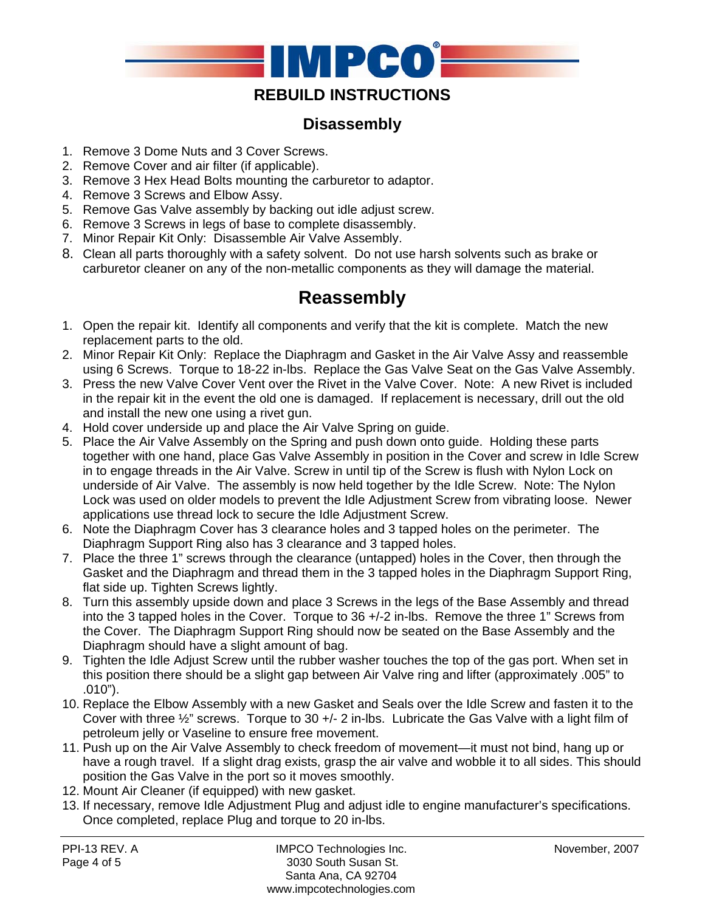

## **REBUILD INSTRUCTIONS**

## **Disassembly**

- 1. Remove 3 Dome Nuts and 3 Cover Screws.
- 2. Remove Cover and air filter (if applicable).
- 3. Remove 3 Hex Head Bolts mounting the carburetor to adaptor.
- 4. Remove 3 Screws and Elbow Assy.
- 5. Remove Gas Valve assembly by backing out idle adjust screw.
- 6. Remove 3 Screws in legs of base to complete disassembly.
- 7. Minor Repair Kit Only: Disassemble Air Valve Assembly.
- 8. Clean all parts thoroughly with a safety solvent. Do not use harsh solvents such as brake or carburetor cleaner on any of the non-metallic components as they will damage the material.

## **Reassembly**

- 1. Open the repair kit. Identify all components and verify that the kit is complete. Match the new replacement parts to the old.
- 2. Minor Repair Kit Only: Replace the Diaphragm and Gasket in the Air Valve Assy and reassemble using 6 Screws. Torque to 18-22 in-lbs. Replace the Gas Valve Seat on the Gas Valve Assembly.
- 3. Press the new Valve Cover Vent over the Rivet in the Valve Cover. Note: A new Rivet is included in the repair kit in the event the old one is damaged. If replacement is necessary, drill out the old and install the new one using a rivet gun.
- 4. Hold cover underside up and place the Air Valve Spring on guide.
- 5. Place the Air Valve Assembly on the Spring and push down onto guide. Holding these parts together with one hand, place Gas Valve Assembly in position in the Cover and screw in Idle Screw in to engage threads in the Air Valve. Screw in until tip of the Screw is flush with Nylon Lock on underside of Air Valve. The assembly is now held together by the Idle Screw. Note: The Nylon Lock was used on older models to prevent the Idle Adjustment Screw from vibrating loose. Newer applications use thread lock to secure the Idle Adjustment Screw.
- 6. Note the Diaphragm Cover has 3 clearance holes and 3 tapped holes on the perimeter. The Diaphragm Support Ring also has 3 clearance and 3 tapped holes.
- 7. Place the three 1" screws through the clearance (untapped) holes in the Cover, then through the Gasket and the Diaphragm and thread them in the 3 tapped holes in the Diaphragm Support Ring, flat side up. Tighten Screws lightly.
- 8. Turn this assembly upside down and place 3 Screws in the legs of the Base Assembly and thread into the 3 tapped holes in the Cover. Torque to 36 +/-2 in-lbs. Remove the three 1" Screws from the Cover. The Diaphragm Support Ring should now be seated on the Base Assembly and the Diaphragm should have a slight amount of bag.
- 9. Tighten the Idle Adjust Screw until the rubber washer touches the top of the gas port. When set in this position there should be a slight gap between Air Valve ring and lifter (approximately .005" to .010").
- 10. Replace the Elbow Assembly with a new Gasket and Seals over the Idle Screw and fasten it to the Cover with three  $\frac{1}{2}$ " screws. Torque to 30 +/- 2 in-lbs. Lubricate the Gas Valve with a light film of petroleum jelly or Vaseline to ensure free movement.
- 11. Push up on the Air Valve Assembly to check freedom of movement—it must not bind, hang up or have a rough travel. If a slight drag exists, grasp the air valve and wobble it to all sides. This should position the Gas Valve in the port so it moves smoothly.
- 12. Mount Air Cleaner (if equipped) with new gasket.
- 13. If necessary, remove Idle Adjustment Plug and adjust idle to engine manufacturer's specifications. Once completed, replace Plug and torque to 20 in-lbs.